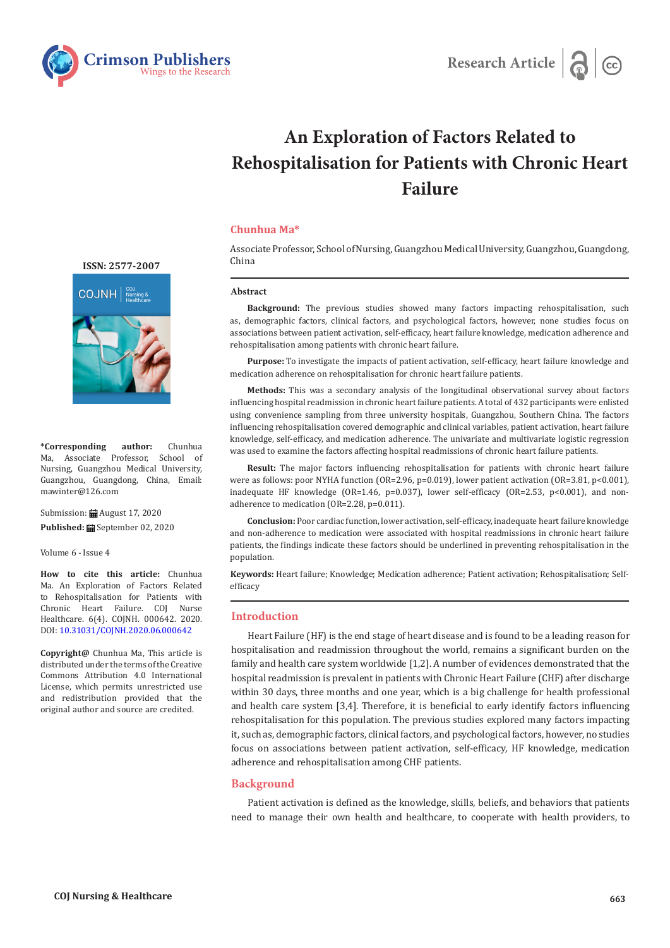



# **An Exploration of Factors Related to Rehospitalisation for Patients with Chronic Heart Failure**

# **Chunhua Ma\***

Associate Professor, School of Nursing, Guangzhou Medical University, Guangzhou, Guangdong, China

### **Abstract**

**Background:** The previous studies showed many factors impacting rehospitalisation, such as, demographic factors, clinical factors, and psychological factors, however, none studies focus on associations between patient activation, self-efficacy, heart failure knowledge, medication adherence and rehospitalisation among patients with chronic heart failure.

**Purpose:** To investigate the impacts of patient activation, self-efficacy, heart failure knowledge and medication adherence on rehospitalisation for chronic heart failure patients.

**Methods:** This was a secondary analysis of the longitudinal observational survey about factors influencing hospital readmission in chronic heart failure patients. A total of 432 participants were enlisted using convenience sampling from three university hospitals, Guangzhou, Southern China. The factors influencing rehospitalisation covered demographic and clinical variables, patient activation, heart failure knowledge, self-efficacy, and medication adherence. The univariate and multivariate logistic regression was used to examine the factors affecting hospital readmissions of chronic heart failure patients.

**Result:** The major factors influencing rehospitalisation for patients with chronic heart failure were as follows: poor NYHA function (OR=2.96, p=0.019), lower patient activation (OR=3.81, p<0.001), inadequate HF knowledge (OR=1.46, p=0.037), lower self-efficacy (OR=2.53, p<0.001), and nonadherence to medication (OR=2.28, p=0.011).

**Conclusion:** Poor cardiac function, lower activation, self-efficacy, inadequate heart failure knowledge and non-adherence to medication were associated with hospital readmissions in chronic heart failure patients, the findings indicate these factors should be underlined in preventing rehospitalisation in the population.

**Keywords:** Heart failure; Knowledge; Medication adherence; Patient activation; Rehospitalisation; Selfefficacy

## **Introduction**

Heart Failure (HF) is the end stage of heart disease and is found to be a leading reason for hospitalisation and readmission throughout the world, remains a significant burden on the family and health care system worldwide [1,2]. A number of evidences demonstrated that the hospital readmission is prevalent in patients with Chronic Heart Failure (CHF) after discharge within 30 days, three months and one year, which is a big challenge for health professional and health care system [3,4]. Therefore, it is beneficial to early identify factors influencing rehospitalisation for this population. The previous studies explored many factors impacting it, such as, demographic factors, clinical factors, and psychological factors, however, no studies focus on associations between patient activation, self-efficacy, HF knowledge, medication adherence and rehospitalisation among CHF patients.

### **Background**

Patient activation is defined as the knowledge, skills, beliefs, and behaviors that patients need to manage their own health and healthcare, to cooperate with health providers, to



**\*Corresponding author:** Chunhua Ma, Associate Professor, School of Nursing, Guangzhou Medical University, Guangzhou, Guangdong, China, Email: mawinter@126.com

Submission: August 17, 2020

Published: **■** September 02, 2020

Volume 6 - Issue 4

**How to cite this article:** Chunhua Ma. An Exploration of Factors Related to Rehospitalisation for Patients with Chronic Heart Failure. COJ Nurse Healthcare. 6(4). COJNH. 000642. 2020. DOI: [10.31031/COJNH.2020.06.000642](http://dx.doi.org/10.31031/COJNH.2020.06.000642)

**Copyright@** Chunhua Ma, This article is distributed under the terms of the Creative Commons Attribution 4.0 International License, which permits unrestricted use and redistribution provided that the original author and source are credited.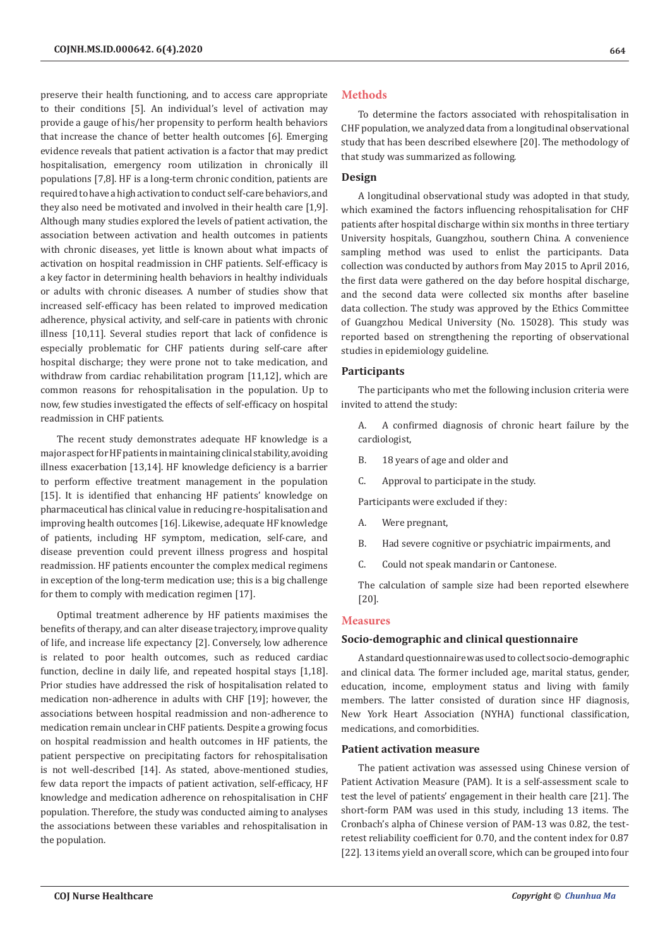preserve their health functioning, and to access care appropriate to their conditions [5]. An individual's level of activation may provide a gauge of his/her propensity to perform health behaviors that increase the chance of better health outcomes [6]. Emerging evidence reveals that patient activation is a factor that may predict hospitalisation, emergency room utilization in chronically ill populations [7,8]. HF is a long-term chronic condition, patients are required to have a high activation to conduct self-care behaviors, and they also need be motivated and involved in their health care [1,9]. Although many studies explored the levels of patient activation, the association between activation and health outcomes in patients with chronic diseases, yet little is known about what impacts of activation on hospital readmission in CHF patients. Self-efficacy is a key factor in determining health behaviors in healthy individuals or adults with chronic diseases. A number of studies show that increased self-efficacy has been related to improved medication adherence, physical activity, and self-care in patients with chronic illness [10,11]. Several studies report that lack of confidence is especially problematic for CHF patients during self-care after hospital discharge; they were prone not to take medication, and withdraw from cardiac rehabilitation program [11,12], which are common reasons for rehospitalisation in the population. Up to now, few studies investigated the effects of self-efficacy on hospital readmission in CHF patients.

The recent study demonstrates adequate HF knowledge is a major aspect for HF patients in maintaining clinical stability, avoiding illness exacerbation [13,14]. HF knowledge deficiency is a barrier to perform effective treatment management in the population [15]. It is identified that enhancing HF patients' knowledge on pharmaceutical has clinical value in reducing re-hospitalisation and improving health outcomes [16]. Likewise, adequate HF knowledge of patients, including HF symptom, medication, self-care, and disease prevention could prevent illness progress and hospital readmission. HF patients encounter the complex medical regimens in exception of the long-term medication use; this is a big challenge for them to comply with medication regimen [17].

Optimal treatment adherence by HF patients maximises the benefits of therapy, and can alter disease trajectory, improve quality of life, and increase life expectancy [2]. Conversely, low adherence is related to poor health outcomes, such as reduced cardiac function, decline in daily life, and repeated hospital stays [1,18]. Prior studies have addressed the risk of hospitalisation related to medication non-adherence in adults with CHF [19]; however, the associations between hospital readmission and non-adherence to medication remain unclear in CHF patients. Despite a growing focus on hospital readmission and health outcomes in HF patients, the patient perspective on precipitating factors for rehospitalisation is not well-described [14]. As stated, above-mentioned studies, few data report the impacts of patient activation, self-efficacy, HF knowledge and medication adherence on rehospitalisation in CHF population. Therefore, the study was conducted aiming to analyses the associations between these variables and rehospitalisation in the population.

## **Methods**

To determine the factors associated with rehospitalisation in CHF population, we analyzed data from a longitudinal observational study that has been described elsewhere [20]. The methodology of that study was summarized as following.

# **Design**

A longitudinal observational study was adopted in that study, which examined the factors influencing rehospitalisation for CHF patients after hospital discharge within six months in three tertiary University hospitals, Guangzhou, southern China. A convenience sampling method was used to enlist the participants. Data collection was conducted by authors from May 2015 to April 2016, the first data were gathered on the day before hospital discharge, and the second data were collected six months after baseline data collection. The study was approved by the Ethics Committee of Guangzhou Medical University (No. 15028). This study was reported based on strengthening the reporting of observational studies in epidemiology guideline.

#### **Participants**

The participants who met the following inclusion criteria were invited to attend the study:

A. A confirmed diagnosis of chronic heart failure by the cardiologist,

- B. 18 years of age and older and
- C. Approval to participate in the study.

Participants were excluded if they:

- A. Were pregnant,
- B. Had severe cognitive or psychiatric impairments, and
- C. Could not speak mandarin or Cantonese.

The calculation of sample size had been reported elsewhere [20].

#### **Measures**

### **Socio-demographic and clinical questionnaire**

A standard questionnaire was used to collect socio-demographic and clinical data. The former included age, marital status, gender, education, income, employment status and living with family members. The latter consisted of duration since HF diagnosis, New York Heart Association (NYHA) functional classification, medications, and comorbidities.

## **Patient activation measure**

The patient activation was assessed using Chinese version of Patient Activation Measure (PAM). It is a self-assessment scale to test the level of patients' engagement in their health care [21]. The short-form PAM was used in this study, including 13 items. The Cronbach's alpha of Chinese version of PAM-13 was 0.82, the testretest reliability coefficient for 0.70, and the content index for 0.87 [22]. 13 items yield an overall score, which can be grouped into four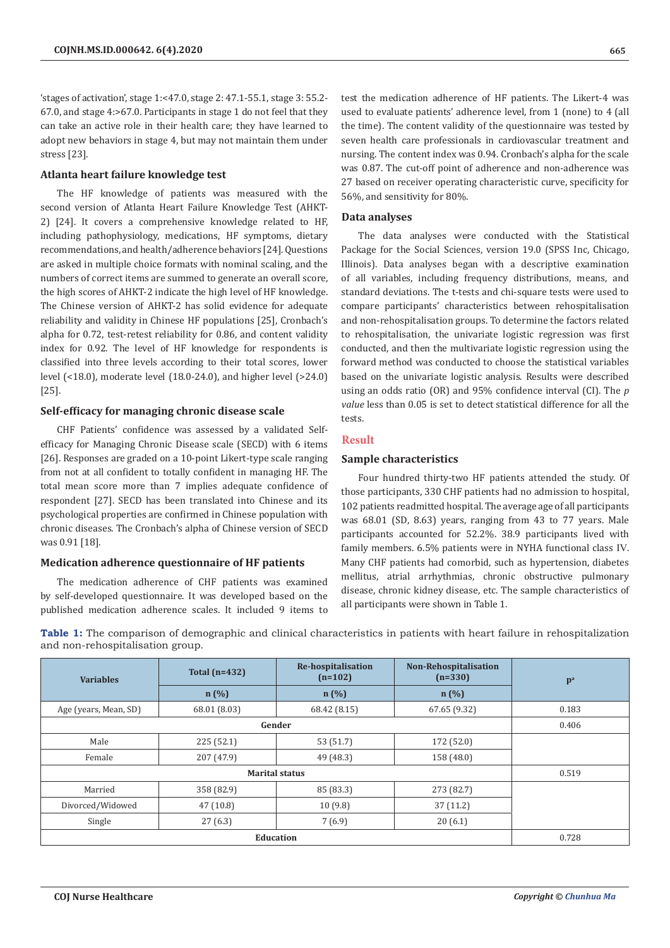'stages of activation', stage 1:<47.0, stage 2: 47.1-55.1, stage 3: 55.2- 67.0, and stage 4:>67.0. Participants in stage 1 do not feel that they can take an active role in their health care; they have learned to adopt new behaviors in stage 4, but may not maintain them under stress [23].

## **Atlanta heart failure knowledge test**

The HF knowledge of patients was measured with the second version of Atlanta Heart Failure Knowledge Test (AHKT-2) [24]. It covers a comprehensive knowledge related to HF, including pathophysiology, medications, HF symptoms, dietary recommendations, and health/adherence behaviors [24]. Questions are asked in multiple choice formats with nominal scaling, and the numbers of correct items are summed to generate an overall score, the high scores of AHKT-2 indicate the high level of HF knowledge. The Chinese version of AHKT-2 has solid evidence for adequate reliability and validity in Chinese HF populations [25], Cronbach's alpha for 0.72, test-retest reliability for 0.86, and content validity index for 0.92. The level of HF knowledge for respondents is classified into three levels according to their total scores, lower level (<18.0), moderate level (18.0-24.0), and higher level (>24.0) [25].

# **Self-efficacy for managing chronic disease scale**

CHF Patients' confidence was assessed by a validated Selfefficacy for Managing Chronic Disease scale (SECD) with 6 items [26]. Responses are graded on a 10-point Likert-type scale ranging from not at all confident to totally confident in managing HF. The total mean score more than 7 implies adequate confidence of respondent [27]. SECD has been translated into Chinese and its psychological properties are confirmed in Chinese population with chronic diseases. The Cronbach's alpha of Chinese version of SECD was 0.91 [18].

# **Medication adherence questionnaire of HF patients**

The medication adherence of CHF patients was examined by self-developed questionnaire. It was developed based on the published medication adherence scales. It included 9 items to test the medication adherence of HF patients. The Likert-4 was used to evaluate patients' adherence level, from 1 (none) to 4 (all the time). The content validity of the questionnaire was tested by seven health care professionals in cardiovascular treatment and nursing. The content index was 0.94. Cronbach's alpha for the scale was 0.87. The cut-off point of adherence and non-adherence was 27 based on receiver operating characteristic curve, specificity for 56%, and sensitivity for 80%.

## **Data analyses**

The data analyses were conducted with the Statistical Package for the Social Sciences, version 19.0 (SPSS Inc, Chicago, Illinois). Data analyses began with a descriptive examination of all variables, including frequency distributions, means, and standard deviations. The t-tests and chi-square tests were used to compare participants' characteristics between rehospitalisation and non-rehospitalisation groups. To determine the factors related to rehospitalisation, the univariate logistic regression was first conducted, and then the multivariate logistic regression using the forward method was conducted to choose the statistical variables based on the univariate logistic analysis. Results were described using an odds ratio (OR) and 95% confidence interval (CI). The *p value* less than 0.05 is set to detect statistical difference for all the tests.

# **Result**

## **Sample characteristics**

Four hundred thirty-two HF patients attended the study. Of those participants, 330 CHF patients had no admission to hospital, 102 patients readmitted hospital. The average age of all participants was 68.01 (SD, 8.63) years, ranging from 43 to 77 years. Male participants accounted for 52.2%. 38.9 participants lived with family members. 6.5% patients were in NYHA functional class Ⅳ. Many CHF patients had comorbid, such as hypertension, diabetes mellitus, atrial arrhythmias, chronic obstructive pulmonary disease, chronic kidney disease, etc. The sample characteristics of all participants were shown in Table 1.

**Table 1:** The comparison of demographic and clinical characteristics in patients with heart failure in rehospitalization and non-rehospitalisation group.

| <b>Variables</b>      | Total $(n=432)$ | <b>Re-hospitalisation</b><br>$(n=102)$ | Non-Rehospitalisation<br>$(n=330)$ | $p^a$ |
|-----------------------|-----------------|----------------------------------------|------------------------------------|-------|
|                       | n(%)            | $n(\%)$                                | n(%)                               |       |
| Age (years, Mean, SD) | 68.01 (8.03)    | 68.42 (8.15)                           | 67.65 (9.32)                       | 0.183 |
|                       |                 | Gender                                 |                                    | 0.406 |
| Male                  | 225(52.1)       | 53 (51.7)                              | 172 (52.0)                         |       |
| Female                | 207 (47.9)      | 49 (48.3)                              | 158 (48.0)                         |       |
|                       | 0.519           |                                        |                                    |       |
| Married               | 358 (82.9)      | 85 (83.3)                              | 273 (82.7)                         |       |
| Divorced/Widowed      | 47(10.8)        | 10(9.8)                                | 37(11.2)                           |       |
| Single                | 27(6.3)         | 7(6.9)                                 | 20(6.1)                            |       |
| Education             |                 |                                        |                                    | 0.728 |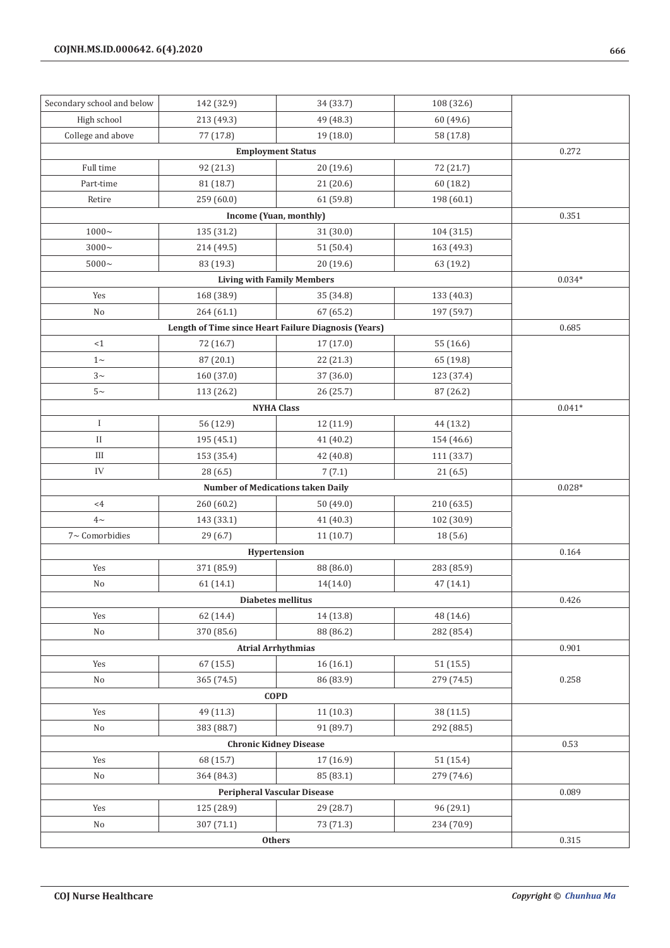| Secondary school and below    | 142 (32.9) | 34 (33.7)                                            | 108 (32.6) |          |
|-------------------------------|------------|------------------------------------------------------|------------|----------|
| High school                   | 213 (49.3) | 49 (48.3)                                            | 60 (49.6)  |          |
| College and above             | 77 (17.8)  | 19 (18.0)                                            | 58 (17.8)  |          |
| <b>Employment Status</b>      |            |                                                      |            | 0.272    |
| Full time                     | 92 (21.3)  | 20 (19.6)                                            | 72 (21.7)  |          |
| Part-time                     | 81 (18.7)  | 21(20.6)                                             | 60 (18.2)  |          |
| Retire                        | 259 (60.0) | 61 (59.8)                                            | 198 (60.1) |          |
|                               |            | Income (Yuan, monthly)                               |            | 0.351    |
| $1000 -$                      | 135 (31.2) | 31 (30.0)                                            | 104 (31.5) |          |
| $3000 -$                      | 214 (49.5) | 51 (50.4)                                            | 163 (49.3) |          |
| $5000\sim$                    | 83 (19.3)  | 20 (19.6)                                            | 63 (19.2)  |          |
|                               |            | <b>Living with Family Members</b>                    |            | $0.034*$ |
| Yes                           | 168 (38.9) | 35 (34.8)                                            | 133 (40.3) |          |
| No                            | 264 (61.1) | 67 (65.2)                                            | 197 (59.7) |          |
|                               |            | Length of Time since Heart Failure Diagnosis (Years) |            | 0.685    |
| <1                            | 72 (16.7)  | 17 (17.0)                                            | 55 (16.6)  |          |
| $1\sim$                       | 87 (20.1)  | 22 (21.3)                                            | 65 (19.8)  |          |
| $3\sim$                       | 160 (37.0) | 37 (36.0)                                            | 123 (37.4) |          |
| $5-$                          | 113 (26.2) | 26 (25.7)                                            | 87 (26.2)  |          |
|                               |            | <b>NYHA Class</b>                                    |            | $0.041*$ |
| I                             | 56 (12.9)  | 12 (11.9)                                            | 44 (13.2)  |          |
| $\mathbf{I}$                  | 195 (45.1) | 41 (40.2)                                            | 154 (46.6) |          |
| $\rm III$                     | 153 (35.4) | 42 (40.8)                                            | 111 (33.7) |          |
| IV                            | 28 (6.5)   | 7(7.1)                                               | 21(6.5)    |          |
|                               |            | <b>Number of Medications taken Daily</b>             |            | $0.028*$ |
| $<$ 4                         | 260 (60.2) | 50 (49.0)                                            | 210 (63.5) |          |
| $4\sim$                       | 143 (33.1) | 41 (40.3)                                            | 102 (30.9) |          |
| 7~ Comorbidies                | 29 (6.7)   | 11(10.7)                                             | 18(5.6)    |          |
|                               |            | Hypertension                                         |            | 0.164    |
| Yes                           | 371 (85.9) | 88 (86.0)                                            | 283 (85.9) |          |
| No                            | 61 (14.1)  | 14(14.0)                                             | 47 (14.1)  |          |
|                               |            | Diabetes mellitus                                    |            | 0.426    |
| Yes                           | 62 (14.4)  | 14 (13.8)                                            | 48 (14.6)  |          |
| No                            | 370 (85.6) | 88 (86.2)                                            | 282 (85.4) |          |
|                               |            | <b>Atrial Arrhythmias</b>                            |            | 0.901    |
| Yes                           | 67 (15.5)  | 16(16.1)                                             | 51(15.5)   |          |
| $\rm No$                      | 365 (74.5) | 86 (83.9)                                            | 279 (74.5) | 0.258    |
|                               |            | <b>COPD</b>                                          |            |          |
| Yes                           | 49 (11.3)  | 11(10.3)                                             | 38 (11.5)  |          |
| No                            | 383 (88.7) | 91 (89.7)                                            | 292 (88.5) |          |
| <b>Chronic Kidney Disease</b> |            |                                                      |            | 0.53     |
| Yes                           | 68 (15.7)  | 17 (16.9)                                            | 51 (15.4)  |          |
| No                            | 364 (84.3) | 85 (83.1)                                            | 279 (74.6) |          |
|                               |            | <b>Peripheral Vascular Disease</b>                   |            | 0.089    |
| Yes                           | 125 (28.9) | 29 (28.7)                                            | 96 (29.1)  |          |
| No                            | 307 (71.1) | 73 (71.3)                                            | 234 (70.9) |          |
| Others                        |            |                                                      |            | 0.315    |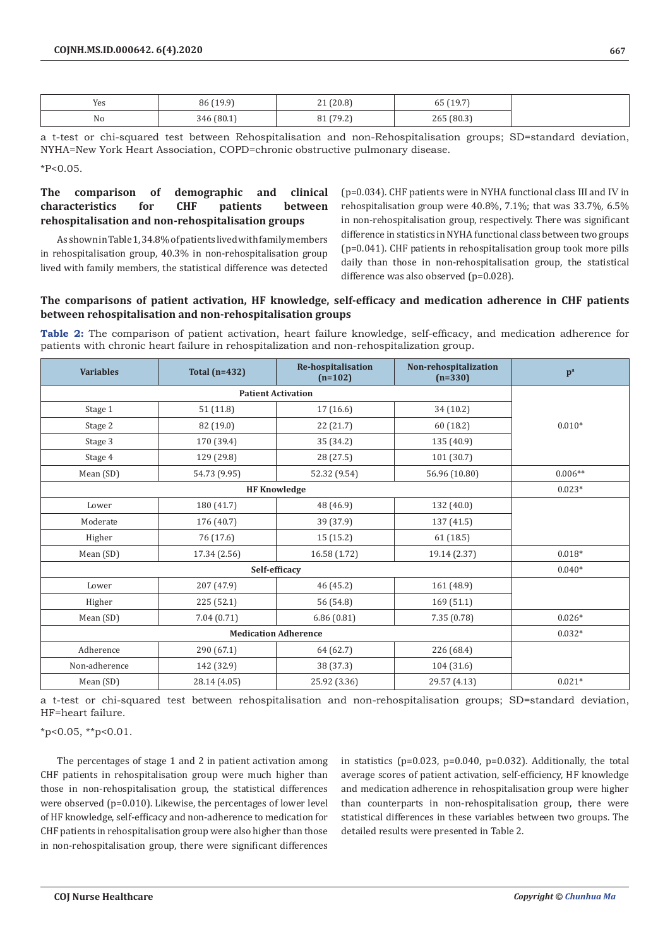| Yes | (100<br>86<br>υu<br><b>17.7</b> | (20.8)<br>$-1$       | 55107<br>(* ). 1<br>νu |
|-----|---------------------------------|----------------------|------------------------|
| No  | (80.1)<br>346                   | (70.2)<br>ے. ر<br>ັບ | 265 (80.3)             |

a t-test or chi-squared test between Rehospitalisation and non-Rehospitalisation groups; SD=standard deviation, NYHA=New York Heart Association, COPD=chronic obstructive pulmonary disease.

\*P<0.05.

# **The comparison of demographic and clinical characteristics for CHF patients between rehospitalisation and non-rehospitalisation groups**

As shown in Table 1, 34.8% of patients lived with family members in rehospitalisation group, 40.3% in non-rehospitalisation group lived with family members, the statistical difference was detected (p=0.034). CHF patients were in NYHA functional class Ⅲ and Ⅳ in rehospitalisation group were 40.8%, 7.1%; that was 33.7%, 6.5% in non-rehospitalisation group, respectively. There was significant difference in statistics in NYHA functional class between two groups (p=0.041). CHF patients in rehospitalisation group took more pills daily than those in non-rehospitalisation group, the statistical difference was also observed (p=0.028).

# **The comparisons of patient activation, HF knowledge, self-efficacy and medication adherence in CHF patients between rehospitalisation and non-rehospitalisation groups**

**Table 2:** The comparison of patient activation, heart failure knowledge, self-efficacy, and medication adherence for patients with chronic heart failure in rehospitalization and non-rehospitalization group.

| <b>Variables</b>            | Total $(n=432)$     | Re-hospitalisation<br>$(n=102)$ | Non-rehospitalization<br>$(n=330)$ | $p^a$     |
|-----------------------------|---------------------|---------------------------------|------------------------------------|-----------|
|                             |                     |                                 |                                    |           |
| Stage 1                     | 51(11.8)            | 17 (16.6)                       | 34 (10.2)                          |           |
| Stage 2                     | 82 (19.0)           | 22 (21.7)                       | 60 (18.2)                          | $0.010*$  |
| Stage 3                     | 170 (39.4)          | 35 (34.2)                       | 135 (40.9)                         |           |
| Stage 4                     | 129 (29.8)          | 28 (27.5)                       | 101 (30.7)                         |           |
| Mean (SD)                   | 54.73 (9.95)        | 52.32 (9.54)                    | 56.96 (10.80)                      | $0.006**$ |
|                             | <b>HF Knowledge</b> |                                 |                                    | $0.023*$  |
| Lower                       | 180 (41.7)          | 48 (46.9)                       | 132 (40.0)                         |           |
| Moderate                    | 176 (40.7)          | 39 (37.9)                       | 137 (41.5)                         |           |
| Higher                      | 76 (17.6)           | 15(15.2)                        | 61(18.5)                           |           |
| Mean (SD)                   | 17.34 (2.56)        | 16.58 (1.72)                    | 19.14 (2.37)                       | $0.018*$  |
|                             | $0.040*$            |                                 |                                    |           |
| Lower                       | 207 (47.9)          | 46 (45.2)                       | 161 (48.9)                         |           |
| Higher                      | 225(52.1)           | 56 (54.8)                       | 169(51.1)                          |           |
| Mean (SD)                   | 7.04(0.71)          | 6.86(0.81)                      | 7.35(0.78)                         | $0.026*$  |
| <b>Medication Adherence</b> |                     |                                 |                                    | $0.032*$  |
| Adherence                   | 290 (67.1)          | 64 (62.7)                       | 226 (68.4)                         |           |
| Non-adherence               | 142 (32.9)          | 38 (37.3)                       | 104 (31.6)                         |           |
| Mean (SD)                   | 28.14 (4.05)        | 25.92 (3.36)                    | 29.57 (4.13)                       | $0.021*$  |

a t-test or chi-squared test between rehospitalisation and non-rehospitalisation groups; SD=standard deviation, HF=heart failure.

 $*p<0.05$ ,  $*p<0.01$ .

The percentages of stage 1 and 2 in patient activation among CHF patients in rehospitalisation group were much higher than those in non-rehospitalisation group, the statistical differences were observed (p=0.010). Likewise, the percentages of lower level of HF knowledge, self-efficacy and non-adherence to medication for CHF patients in rehospitalisation group were also higher than those in non-rehospitalisation group, there were significant differences

in statistics ( $p=0.023$ ,  $p=0.040$ ,  $p=0.032$ ). Additionally, the total average scores of patient activation, self-efficiency, HF knowledge and medication adherence in rehospitalisation group were higher than counterparts in non-rehospitalisation group, there were statistical differences in these variables between two groups. The detailed results were presented in Table 2.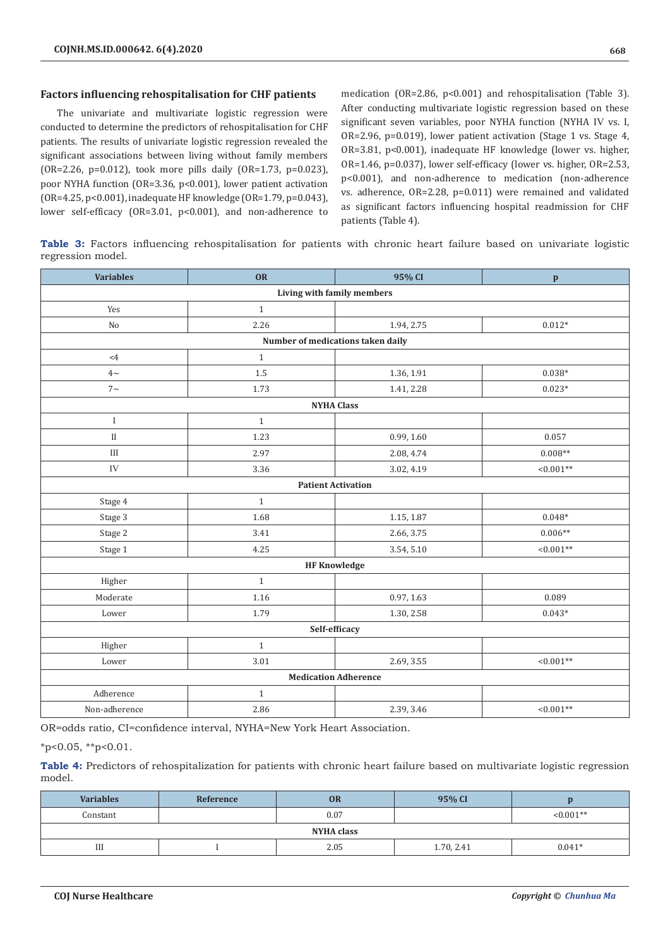## **Factors influencing rehospitalisation for CHF patients**

The univariate and multivariate logistic regression were conducted to determine the predictors of rehospitalisation for CHF patients. The results of univariate logistic regression revealed the significant associations between living without family members (OR=2.26, p=0.012), took more pills daily (OR=1.73, p=0.023), poor NYHA function (OR=3.36, p<0.001), lower patient activation (OR=4.25, p<0.001), inadequate HF knowledge (OR=1.79, p=0.043), lower self-efficacy (OR=3.01, p<0.001), and non-adherence to medication (OR=2.86, p<0.001) and rehospitalisation (Table 3). After conducting multivariate logistic regression based on these significant seven variables, poor NYHA function (NYHA IV vs. I, OR=2.96, p=0.019), lower patient activation (Stage 1 vs. Stage 4, OR=3.81, p<0.001), inadequate HF knowledge (lower vs. higher, OR=1.46, p=0.037), lower self-efficacy (lower vs. higher, OR=2.53, p<0.001), and non-adherence to medication (non-adherence vs. adherence, OR=2.28, p=0.011) were remained and validated as significant factors influencing hospital readmission for CHF patients (Table 4).

**Table 3:** Factors influencing rehospitalisation for patients with chronic heart failure based on univariate logistic regression model.

| <b>Variables</b>            | OR           | 95% CI                            | $\mathbf{p}$ |  |  |
|-----------------------------|--------------|-----------------------------------|--------------|--|--|
| Living with family members  |              |                                   |              |  |  |
| Yes                         | $\mathbf{1}$ |                                   |              |  |  |
| No                          | 2.26         | 1.94, 2.75                        | $0.012*$     |  |  |
|                             |              | Number of medications taken daily |              |  |  |
| $<4\,$                      | $\mathbf{1}$ |                                   |              |  |  |
| $4\sim$                     | 1.5          | 1.36, 1.91                        | $0.038*$     |  |  |
| $7\sim$                     | 1.73         | 1.41, 2.28                        | $0.023*$     |  |  |
|                             |              | <b>NYHA Class</b>                 |              |  |  |
| $\bf{I}$                    | $\mathbf{1}$ |                                   |              |  |  |
| $\mathbf{I}$                | 1.23         | 0.99, 1.60                        | 0.057        |  |  |
| $\rm III$                   | 2.97         | 2.08, 4.74                        | $0.008**$    |  |  |
| ${\rm IV}$                  | 3.36         | 3.02, 4.19                        | $< 0.001**$  |  |  |
|                             |              | <b>Patient Activation</b>         |              |  |  |
| Stage 4                     | $\mathbf{1}$ |                                   |              |  |  |
| Stage 3                     | 1.68         | 1.15, 1.87                        | $0.048*$     |  |  |
| Stage 2                     | 3.41         | 2.66, 3.75                        | $0.006**$    |  |  |
| Stage 1                     | 4.25         | 3.54, 5.10                        | $< 0.001**$  |  |  |
|                             |              | <b>HF Knowledge</b>               |              |  |  |
| Higher                      | $\mathbf{1}$ |                                   |              |  |  |
| Moderate                    | 1.16         | 0.97, 1.63                        | 0.089        |  |  |
| Lower                       | 1.79         | 1.30, 2.58                        | $0.043*$     |  |  |
| Self-efficacy               |              |                                   |              |  |  |
| Higher                      | $\mathbf{1}$ |                                   |              |  |  |
| Lower                       | 3.01         | 2.69, 3.55                        | $< 0.001**$  |  |  |
| <b>Medication Adherence</b> |              |                                   |              |  |  |
| Adherence                   | $\mathbf{1}$ |                                   |              |  |  |
| Non-adherence               | 2.86         | 2.39, 3.46                        | $< 0.001**$  |  |  |

OR=odds ratio, CI=confidence interval, NYHA=New York Heart Association.

 $*p<0.05$ ,  $*p<0.01$ .

**Table 4:** Predictors of rehospitalization for patients with chronic heart failure based on multivariate logistic regression model.

| <b>Variables</b> | Reference | OR   | 95% CI     |             |  |
|------------------|-----------|------|------------|-------------|--|
| Constant         |           | 0.07 |            | $< 0.001**$ |  |
| NYHA class       |           |      |            |             |  |
| Ш                |           | 2.05 | 1.70, 2.41 | $0.041*$    |  |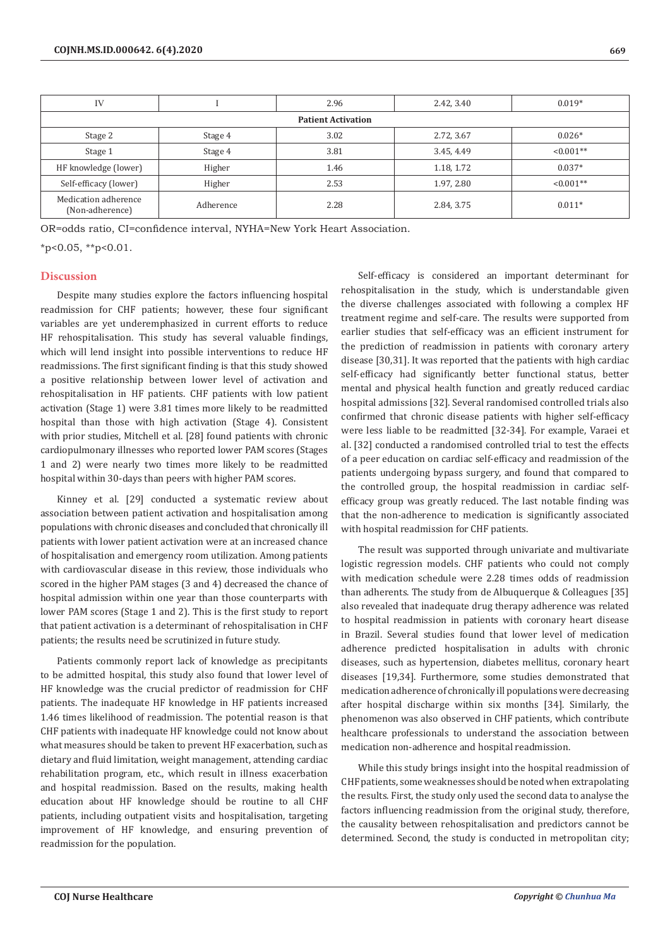| IV                                      |           | 2.96 | 2.42, 3.40 | $0.019*$     |  |  |
|-----------------------------------------|-----------|------|------------|--------------|--|--|
| <b>Patient Activation</b>               |           |      |            |              |  |  |
| Stage 2                                 | Stage 4   | 3.02 | 2.72, 3.67 | $0.026*$     |  |  |
| Stage 1                                 | Stage 4   | 3.81 | 3.45, 4.49 | $< 0.001$ ** |  |  |
| HF knowledge (lower)                    | Higher    | 1.46 | 1.18, 1.72 | $0.037*$     |  |  |
| Self-efficacy (lower)                   | Higher    | 2.53 | 1.97, 2.80 | $< 0.001**$  |  |  |
| Medication adherence<br>(Non-adherence) | Adherence | 2.28 | 2.84, 3.75 | $0.011*$     |  |  |

OR=odds ratio, CI=confidence interval, NYHA=New York Heart Association.

 $*p<0.05$ ,  $*p<0.01$ .

#### **Discussion**

Despite many studies explore the factors influencing hospital readmission for CHF patients; however, these four significant variables are yet underemphasized in current efforts to reduce HF rehospitalisation. This study has several valuable findings, which will lend insight into possible interventions to reduce HF readmissions. The first significant finding is that this study showed a positive relationship between lower level of activation and rehospitalisation in HF patients. CHF patients with low patient activation (Stage 1) were 3.81 times more likely to be readmitted hospital than those with high activation (Stage 4). Consistent with prior studies, Mitchell et al. [28] found patients with chronic cardiopulmonary illnesses who reported lower PAM scores (Stages 1 and 2) were nearly two times more likely to be readmitted hospital within 30-days than peers with higher PAM scores.

Kinney et al. [29] conducted a systematic review about association between patient activation and hospitalisation among populations with chronic diseases and concluded that chronically ill patients with lower patient activation were at an increased chance of hospitalisation and emergency room utilization. Among patients with cardiovascular disease in this review, those individuals who scored in the higher PAM stages (3 and 4) decreased the chance of hospital admission within one year than those counterparts with lower PAM scores (Stage 1 and 2). This is the first study to report that patient activation is a determinant of rehospitalisation in CHF patients; the results need be scrutinized in future study.

Patients commonly report lack of knowledge as precipitants to be admitted hospital, this study also found that lower level of HF knowledge was the crucial predictor of readmission for CHF patients. The inadequate HF knowledge in HF patients increased 1.46 times likelihood of readmission. The potential reason is that CHF patients with inadequate HF knowledge could not know about what measures should be taken to prevent HF exacerbation, such as dietary and fluid limitation, weight management, attending cardiac rehabilitation program, etc., which result in illness exacerbation and hospital readmission. Based on the results, making health education about HF knowledge should be routine to all CHF patients, including outpatient visits and hospitalisation, targeting improvement of HF knowledge, and ensuring prevention of readmission for the population.

Self-efficacy is considered an important determinant for rehospitalisation in the study, which is understandable given the diverse challenges associated with following a complex HF treatment regime and self-care. The results were supported from earlier studies that self-efficacy was an efficient instrument for the prediction of readmission in patients with coronary artery disease [30,31]. It was reported that the patients with high cardiac self-efficacy had significantly better functional status, better mental and physical health function and greatly reduced cardiac hospital admissions [32]. Several randomised controlled trials also confirmed that chronic disease patients with higher self-efficacy were less liable to be readmitted [32-34]. For example, Varaei et al. [32] conducted a randomised controlled trial to test the effects of a peer education on cardiac self-efficacy and readmission of the patients undergoing bypass surgery, and found that compared to the controlled group, the hospital readmission in cardiac selfefficacy group was greatly reduced. The last notable finding was that the non-adherence to medication is significantly associated with hospital readmission for CHF patients.

The result was supported through univariate and multivariate logistic regression models. CHF patients who could not comply with medication schedule were 2.28 times odds of readmission than adherents. The study from de Albuquerque & Colleagues [35] also revealed that inadequate drug therapy adherence was related to hospital readmission in patients with coronary heart disease in Brazil. Several studies found that lower level of medication adherence predicted hospitalisation in adults with chronic diseases, such as hypertension, diabetes mellitus, coronary heart diseases [19,34]. Furthermore, some studies demonstrated that medication adherence of chronically ill populations were decreasing after hospital discharge within six months [34]. Similarly, the phenomenon was also observed in CHF patients, which contribute healthcare professionals to understand the association between medication non-adherence and hospital readmission.

While this study brings insight into the hospital readmission of CHF patients, some weaknesses should be noted when extrapolating the results. First, the study only used the second data to analyse the factors influencing readmission from the original study, therefore, the causality between rehospitalisation and predictors cannot be determined. Second, the study is conducted in metropolitan city;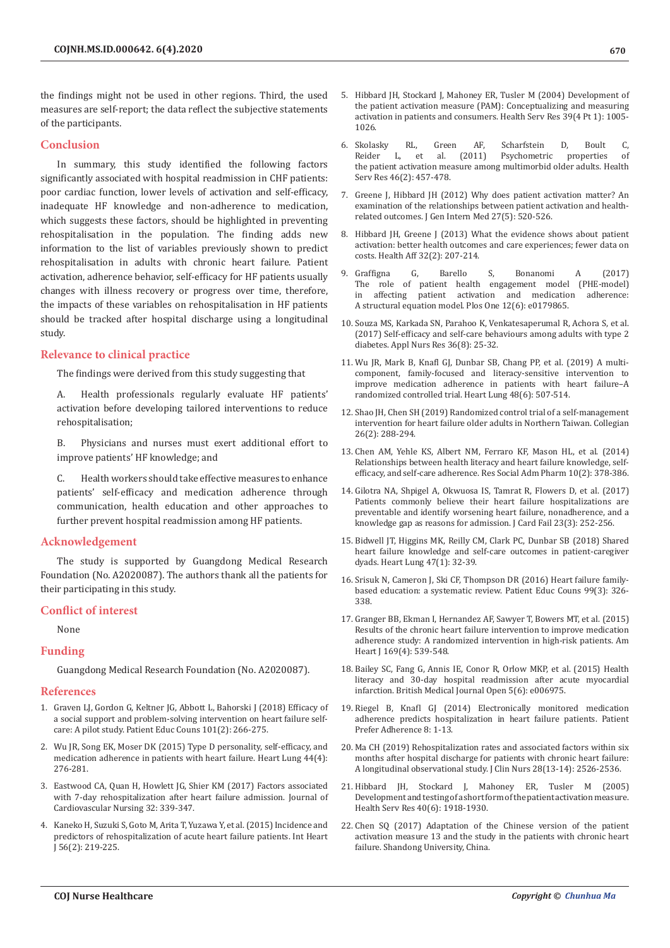the findings might not be used in other regions. Third, the used measures are self-report; the data reflect the subjective statements of the participants.

## **Conclusion**

In summary, this study identified the following factors significantly associated with hospital readmission in CHF patients: poor cardiac function, lower levels of activation and self-efficacy, inadequate HF knowledge and non-adherence to medication, which suggests these factors, should be highlighted in preventing rehospitalisation in the population. The finding adds new information to the list of variables previously shown to predict rehospitalisation in adults with chronic heart failure. Patient activation, adherence behavior, self-efficacy for HF patients usually changes with illness recovery or progress over time, therefore, the impacts of these variables on rehospitalisation in HF patients should be tracked after hospital discharge using a longitudinal study.

#### **Relevance to clinical practice**

The findings were derived from this study suggesting that

A. Health professionals regularly evaluate HF patients' activation before developing tailored interventions to reduce rehospitalisation;

B. Physicians and nurses must exert additional effort to improve patients' HF knowledge; and

C. Health workers should take effective measures to enhance patients' self-efficacy and medication adherence through communication, health education and other approaches to further prevent hospital readmission among HF patients.

#### **Acknowledgement**

The study is supported by Guangdong Medical Research Foundation (No. A2020087). The authors thank all the patients for their participating in this study.

## **Conflict of interest**

None

#### **Funding**

Guangdong Medical Research Foundation (No. A2020087).

#### **References**

- 1. [Graven LJ, Gordon G, Keltner JG, Abbott L, Bahorski J \(2018\) Efficacy of](https://pubmed.ncbi.nlm.nih.gov/28951026/)  [a social support and problem-solving intervention on heart failure self](https://pubmed.ncbi.nlm.nih.gov/28951026/)[care: A pilot study. Patient Educ Couns 101\(2\): 266-275.](https://pubmed.ncbi.nlm.nih.gov/28951026/)
- 2. [Wu JR, Song EK, Moser DK \(2015\) Type D personality, self-efficacy, and](https://pubmed.ncbi.nlm.nih.gov/25979573/)  [medication adherence in patients with heart failure. Heart Lung 44\(4\):](https://pubmed.ncbi.nlm.nih.gov/25979573/)  [276-281.](https://pubmed.ncbi.nlm.nih.gov/25979573/)
- 3. [Eastwood CA, Quan H, Howlett JG, Shier KM \(2017\) Factors associated](https://www.nursingcenter.com/journalarticle?Article_ID=4176574&Journal_ID=54006&Issue_ID=4176295)  [with 7-day rehospitalization after heart failure admission. Journal of](https://www.nursingcenter.com/journalarticle?Article_ID=4176574&Journal_ID=54006&Issue_ID=4176295)  [Cardiovascular Nursing 32: 339-347.](https://www.nursingcenter.com/journalarticle?Article_ID=4176574&Journal_ID=54006&Issue_ID=4176295)
- 4. Kaneko H, Suzuki S, Goto M, Arita T, Yuzawa Y, [et al. \(2015\) Incidence and](https://pubmed.ncbi.nlm.nih.gov/25740584/)  [predictors of rehospitalization of acute heart failure patients. Int Heart](https://pubmed.ncbi.nlm.nih.gov/25740584/)  [J 56\(2\): 219-225.](https://pubmed.ncbi.nlm.nih.gov/25740584/)
- 5. [Hibbard JH, Stockard J, Mahoney ER, Tusler M \(2004\) Development of](https://pubmed.ncbi.nlm.nih.gov/15230939/) [the patient activation measure \(PAM\): Conceptualizing and measuring](https://pubmed.ncbi.nlm.nih.gov/15230939/) [activation in patients and consumers. Health Serv Res 39\(4 Pt 1\): 1005-](https://pubmed.ncbi.nlm.nih.gov/15230939/) [1026.](https://pubmed.ncbi.nlm.nih.gov/15230939/)
- 6. [Skolasky RL, Green AF, Scharfstein D, Boult C,](https://pubmed.ncbi.nlm.nih.gov/21091470/)<br>Reider L, et al. (2011) Psychometric properties of Reider [L, et al. \(2011\) Psychometric](https://pubmed.ncbi.nlm.nih.gov/21091470/) properties of the patient activation measure among multimorbid older [adults. Health](https://pubmed.ncbi.nlm.nih.gov/21091470/) [Serv Res 46\(2\): 457-478.](https://pubmed.ncbi.nlm.nih.gov/21091470/)
- 7. [Greene J, Hibbard JH \(2012\) Why does patient activation matter? An](https://pubmed.ncbi.nlm.nih.gov/22127797/) [examination of the relationships between patient activation and health](https://pubmed.ncbi.nlm.nih.gov/22127797/)[related outcomes. J Gen Intern Med 27\(5\): 520-526.](https://pubmed.ncbi.nlm.nih.gov/22127797/)
- 8. [Hibbard JH, Greene J \(2013\) What the evidence shows about patient](https://pubmed.ncbi.nlm.nih.gov/23381511/) [activation: better health outcomes and care experiences; fewer data on](https://pubmed.ncbi.nlm.nih.gov/23381511/) [costs. Health Aff 32\(2\): 207-214.](https://pubmed.ncbi.nlm.nih.gov/23381511/)
- 9. [Graffigna G, Barello S, Bonanomi A \(2017\)](https://pubmed.ncbi.nlm.nih.gov/28654686/) of patient health engagement model (PHE-model)<br>ing patient activation and medication adherence: in affecting patient activation and medication A structural equation [model. Plos One 12\(6\): e0179865.](https://pubmed.ncbi.nlm.nih.gov/28654686/)
- 10. [Souza MS, Karkada SN, Parahoo K, Venkatesaperumal R, Achora S, et al.](https://pubmed.ncbi.nlm.nih.gov/28720235/) [\(2017\) Self-efficacy and self-care behaviours among adults with type 2](https://pubmed.ncbi.nlm.nih.gov/28720235/) [diabetes. Appl Nurs Res 36\(8\): 25-32.](https://pubmed.ncbi.nlm.nih.gov/28720235/)
- 11. [Wu JR, Mark B, Knafl GJ, Dunbar SB, Chang PP, et al. \(2019\) A multi](https://pubmed.ncbi.nlm.nih.gov/31182217/)[component, family-focused and literacy-sensitive intervention to](https://pubmed.ncbi.nlm.nih.gov/31182217/) [improve medication adherence in patients with heart failure–A](https://pubmed.ncbi.nlm.nih.gov/31182217/) [randomized controlled trial. Heart Lung 48\(6\): 507-514.](https://pubmed.ncbi.nlm.nih.gov/31182217/)
- 12. [Shao JH, Chen SH \(2019\) Randomized control trial of a self-management](https://www.sciencedirect.com/science/article/abs/pii/S1322769618301227) [intervention for heart failure older adults in Northern Taiwan. Collegian](https://www.sciencedirect.com/science/article/abs/pii/S1322769618301227) [26\(2\): 288-294.](https://www.sciencedirect.com/science/article/abs/pii/S1322769618301227)
- 13. [Chen AM, Yehle KS, Albert NM, Ferraro KF, Mason HL, et al. \(2014\)](https://pubmed.ncbi.nlm.nih.gov/23953756/) [Relationships between](https://pubmed.ncbi.nlm.nih.gov/23953756/) health literacy and heart failure knowledge, selfefficacy, and [self-care adherence. Res Social Adm Pharm 10\(2\): 378-386.](https://pubmed.ncbi.nlm.nih.gov/23953756/)
- 14. [Gilotra NA, Shpigel A, Okwuosa IS, Tamrat R, Flowers D, et al. \(2017\)](https://pubmed.ncbi.nlm.nih.gov/27742454/) [Patients commonly believe their heart failure hospitalizations are](https://pubmed.ncbi.nlm.nih.gov/27742454/) [preventable and identify worsening heart failure, nonadherence, and a](https://pubmed.ncbi.nlm.nih.gov/27742454/) [knowledge gap as reasons for admission. J Card Fail 23\(3\): 252-256.](https://pubmed.ncbi.nlm.nih.gov/27742454/)
- 15. [Bidwell JT, Higgins MK, Reilly CM, Clark PC, Dunbar SB \(2018\) Shared](https://pubmed.ncbi.nlm.nih.gov/29153759/) [heart failure knowledge and self-care outcomes in patient-caregiver](https://pubmed.ncbi.nlm.nih.gov/29153759/) [dyads. Heart Lung 47\(1\): 32-39.](https://pubmed.ncbi.nlm.nih.gov/29153759/)
- 16. [Srisuk N, Cameron J, Ski CF, Thompson DR \(2016\) Heart failure family](https://pubmed.ncbi.nlm.nih.gov/26519992/)[based education: a systematic review. Patient Educ Couns 99\(3\): 326-](https://pubmed.ncbi.nlm.nih.gov/26519992/) [338.](https://pubmed.ncbi.nlm.nih.gov/26519992/)
- 17. [Granger BB, Ekman I, Hernandez AF, Sawyer T, Bowers MT, et al. \(2015\)](https://pubmed.ncbi.nlm.nih.gov/25819861/) [Results of the chronic heart failure intervention to improve medication](https://pubmed.ncbi.nlm.nih.gov/25819861/) [adherence study: A randomized intervention in high-risk patients. Am](https://pubmed.ncbi.nlm.nih.gov/25819861/) [Heart J 169\(4\): 539-548.](https://pubmed.ncbi.nlm.nih.gov/25819861/)
- 18. [Bailey SC, Fang G, Annis IE, Conor R, Orlow MKP, et al. \(2015\) Health](https://bmjopen.bmj.com/content/5/6/e006975) literacy and 30-day [hospital readmission](https://bmjopen.bmj.com/content/5/6/e006975) after acute myocardial [infarction. British Medical Journal Open 5\(6\): e006975.](https://bmjopen.bmj.com/content/5/6/e006975)
- 19. [Riegel B, Knafl GJ \(2014\) Electronically monitored medication](https://pubmed.ncbi.nlm.nih.gov/24353407/) [adherence predicts hospitalization in heart failure patients. Patient](https://pubmed.ncbi.nlm.nih.gov/24353407/) [Prefer Adherence 8: 1-13.](https://pubmed.ncbi.nlm.nih.gov/24353407/)
- 20. [Ma CH \(2019\) Rehospitalization rates and associated factors within six](https://pubmed.ncbi.nlm.nih.gov/30793392/) [months after hospital discharge for patients with chronic heart failure:](https://pubmed.ncbi.nlm.nih.gov/30793392/) [A longitudinal observational study. J Clin Nurs 28\(13-14\): 2526-2536.](https://pubmed.ncbi.nlm.nih.gov/30793392/)
- 21. [Hibbard JH, Stockard J, Mahoney ER, Tusler M \(2005\)](https://pubmed.ncbi.nlm.nih.gov/16336556/) Development and testing of a short form of the patient activation measure. [Health Serv Res 40\(6\): 1918-1930.](https://pubmed.ncbi.nlm.nih.gov/16336556/)
- 22. Chen SQ (2017) Adaptation of the Chinese version of the patient activation measure 13 and the study in the patients with chronic heart failure. Shandong University, China.